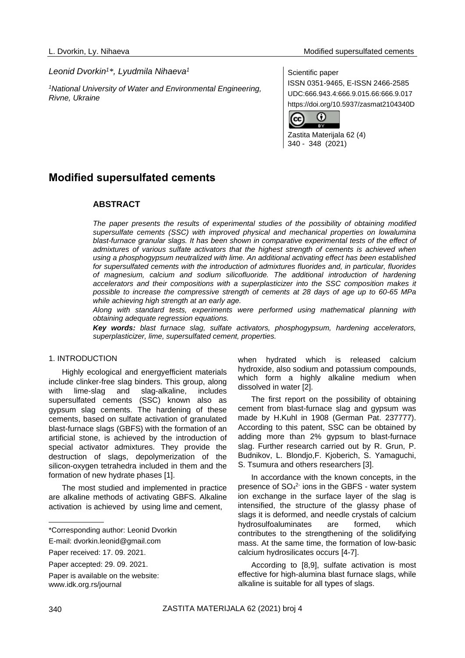## *Leonid Dvorkin<sup>1</sup>\*, Lyudmila Nihaeva<sup>1</sup>*

*<sup>1</sup>National University of Water and Environmental Engineering, Rivne, Ukraine*

### Scientific paper

ISSN 0351-9465, E-ISSN 2466-2585 UDC:666.943.4:666.9.015.66:666.9.017 https://doi.org/10.5937/zasmat2104340D



Zastita Materijala 62 (4) 340 - 348 (2021)

# **Modified supersulfated cements**

## **ABSTRACT**

*The paper presents the results of experimental studies of the possibility of obtaining modified supersulfate cements (SSC) with improved physical and mechanical properties on lowalumina*  blast-furnace granular slags. It has been shown in comparative experimental tests of the effect of *admixtures of various sulfate activators that the highest strength of cements is achieved when using a phosphogypsum neutralized with lime. An additional activating effect has been established for supersulfated cements with the introduction of admixtures fluorides and, in particular, fluorides of magnesium, calcium and sodium silicofluoride. The additional introduction of hardening accelerators and their compositions with a superplasticizer into the SSC composition makes it possible to increase the compressive strength of cements at 28 days of age up to 60-65 MPa while achieving high strength at an early age.*

*Along with standard tests, experiments were performed using mathematical planning with obtaining adequate regression equations.*

*Key words: blast furnace slag, sulfate activators, phosphogypsum, hardening accelerators, superplasticizer, lime, supersulfated cement, properties.*

## 1. INTRODUCTION

Highly ecological and energyefficient materials include clinker-free slag binders. This group, along with lime-slag and slag-alkaline, includes supersulfated cements (SSC) known also as gypsum slag cements. The hardening of these cements, based on sulfate activation of granulated blast-furnace slags (GBFS) with the formation of an artificial stone, is achieved by the introduction of special activator admixtures. They provide the destruction of slags, depolymerization of the silicon-oxygen tetrahedra included in them and the formation of new hydrate phases [1].

The most studied and implemented in practice are alkaline methods of activating GBFS. Alkaline activation is achieved by using lime and cement,

when hydrated which is released calcium hydroxide, also sodium and potassium compounds, which form a highly alkaline medium when dissolved in water [2].

The first report on the possibility of obtaining cement from blast-furnace slag and gypsum was made by H.Kuhl in 1908 (German Pat. 237777). According to this patent, SSC can be obtained by adding more than 2% gypsum to blast-furnace slag. Further research carried out by R. Grun, P. Budnikov, L. Blondjo,F. Kjoberich, S. Yamaguchi, S. Tsumura and others researchers [3].

In accordance with the known concepts, in the presence of  $SO<sub>4</sub><sup>2</sup>$  ions in the GBFS - water system ion exchange in the surface layer of the slag is intensified, the structure of the glassy phase of slags it is deformed, and needle crystals of calcium hydrosulfoaluminates are formed, which contributes to the strengthening of the solidifying mass. At the same time, the formation of low-basic calcium hydrosilicates occurs [4-7].

According to [8,9], sulfate activation is most effective for high-alumina blast furnace slags, while alkaline is suitable for all types of slags.

<sup>\*</sup>Corresponding author: Leonid Dvorkin

E-mail: [dvorkin.leonid@gmail.com](mailto:dvorkin.leonid@gmail.com)

Paper received: 17. 09. 2021.

Paper accepted: 29. 09. 2021.

Paper is available on the website: [www.idk.org.rs/journal](http://www.idk.org.rs/journal)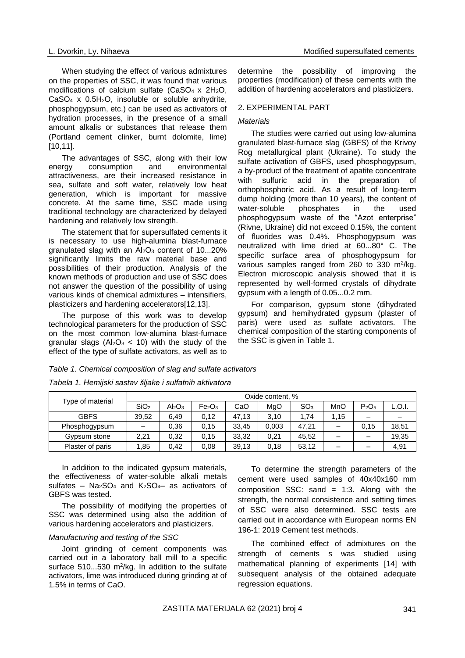When studying the effect of various admixtures on the properties of SSC, it was found that various modifications of calcium sulfate  $(CaSO<sub>4</sub> \times 2H<sub>2</sub>O)$ .  $CaSO<sub>4</sub>$  x  $0.5H<sub>2</sub>O$ , insoluble or soluble anhydrite, phosphogypsum, etc.) can be used as activators of hydration processes, in the presence of a small amount alkalis or substances that release them (Portland cement clinker, burnt dolomite, lime) [10.11].

The advantages of SSC, along with their low energy consumption and environmental attractiveness, are their increased resistance in sea, sulfate and soft water, relatively low heat generation, which is important for massive concrete. At the same time, SSC made using traditional technology are characterized by delayed hardening and relatively low strength.

The statement that for supersulfated cements it is necessary to use high-alumina blast-furnace granulated slag with an  $Al_2O_3$  content of 10...20% significantly limits the raw material base and possibilities of their production. Analysis of the known methods of production and use of SSC does not answer the question of the possibility of using various kinds of chemical admixtures – intensifiers, plasticizers and hardening accelerators[12,13].

The purpose of this work was to develop technological parameters for the production of SSC on the most common low-alumina blast-furnace granular slags ( $Al_2O_3$  < 10) with the study of the effect of the type of sulfate activators, as well as to determine the possibility of improving the properties (modification) of these cements with the addition of hardening accelerators and plasticizers.

## 2. EXPERIMENTAL PART

## *Materials*

The studies were carried out using low-alumina granulated blast-furnace slag (GBFS) of the Krivoy Rog metallurgical plant (Ukraine). To study the sulfate activation of GBFS, used phosphogypsum, a by-product of the treatment of apatite concentrate with sulfuric acid in the preparation of orthophosphoric acid. As a result of long-term dump holding (more than 10 years), the content of water-soluble phosphates in the used phosphogypsum waste of the "Azot enterprise" (Rivne, Ukraine) did not exceed 0.15%, the content of fluorides was 0.4%. Phosphogypsum was neutralized with lime dried at 60...80° C. The specific surface area of phosphogypsum for various samples ranged from 260 to 330  $m^2/kg$ . Electron microscopic analysis showed that it is represented by well-formed crystals of dihydrate gypsum with a length of 0.05...0.2 mm.

For comparison, gypsum stone (dihydrated gypsum) and hemihydrated gypsum (plaster of paris) were used as sulfate activators. The chemical composition of the starting components of the SSC is given in Table 1.

|  | Table 1. Chemical composition of slag and sulfate activators |  |
|--|--------------------------------------------------------------|--|
|--|--------------------------------------------------------------|--|

| Type of material | Oxide content, % |                                |                                |       |       |                 |      |                               |        |  |
|------------------|------------------|--------------------------------|--------------------------------|-------|-------|-----------------|------|-------------------------------|--------|--|
|                  | SiO <sub>2</sub> | Al <sub>2</sub> O <sub>3</sub> | Fe <sub>2</sub> O <sub>3</sub> | CaO   | MgO   | SO <sub>3</sub> | MnO  | P <sub>2</sub> O <sub>5</sub> | L.O.I. |  |
| <b>GBFS</b>      | 39.52            | 6.49                           | 0.12                           | 47,13 | 3.10  | 1.74            | 1.15 |                               |        |  |
| Phosphogypsum    | —                | 0.36                           | 0.15                           | 33,45 | 0,003 | 47.21           |      | 0.15                          | 18,51  |  |
| Gypsum stone     | 2.21             | 0.32                           | 0.15                           | 33,32 | 0.21  | 45.52           |      |                               | 19,35  |  |
| Plaster of paris | .85              | 0.42                           | 0.08                           | 39,13 | 0.18  | 53,12           |      |                               | 4,91   |  |

*Tabela 1. Hemijski sastav šljake i sulfatnih aktivatora*

In addition to the indicated gypsum materials, the effectiveness of water-soluble alkali metals sulfates –  $Na<sub>2</sub>SO<sub>4</sub>$  and  $K<sub>2</sub>SO<sub>4</sub>$  as activators of GBFS was tested.

The possibility of modifying the properties of SSC was determined using also the addition of various hardening accelerators and plasticizers.

## *Manufacturing and testing of the SSC*

Joint grinding of cement components was carried out in a laboratory ball mill to a specific surface  $510...530$  m<sup>2</sup>/kg. In addition to the sulfate activators, lime was introduced during grinding at of 1.5% in terms of CaO.

To determine the strength parameters of the cement were used samples of 40x40x160 mm composition SSC: sand  $= 1:3$ . Along with the strength, the normal consistence and setting times of SSC were also determined. SSC tests are carried out in accordance with European norms EN 196-1: 2019 Cement test methods.

The combined effect of admixtures on the strength of cements s was studied using mathematical planning of experiments [14] with subsequent analysis of the obtained adequate regression equations.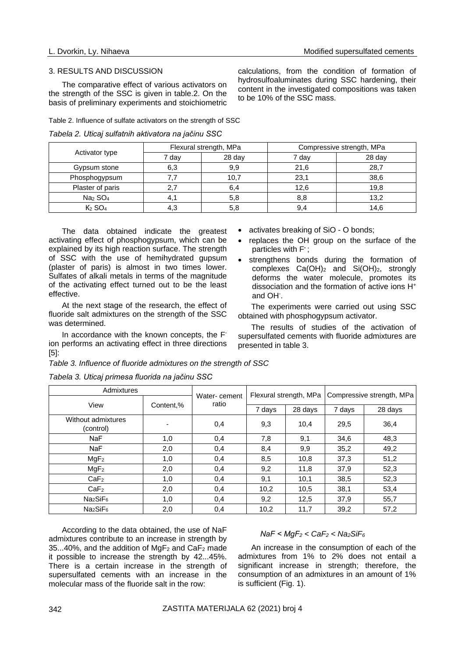#### 3. RESULTS AND DISCUSSION

The comparative effect of various activators on the strength of the SSC is given in table.2. On the basis of preliminary experiments and stoichiometric calculations, from the condition of formation of hydrosulfoaluminates during SSC hardening, their content in the investigated compositions was taken to be 10% of the SSC mass.

Table 2. Influence of sulfate activators on the strength of SSC

*Tabela 2. Uticaj sulfatnih aktivatora na jačinu SSC*

|                                 |       | Flexural strength, MPa | Compressive strength, MPa |        |  |  |  |
|---------------------------------|-------|------------------------|---------------------------|--------|--|--|--|
| Activator type                  | 7 dav | 28 day                 | 7 dav                     | 28 day |  |  |  |
| Gypsum stone                    | 6,3   | 9,9                    | 21,6                      | 28,7   |  |  |  |
| Phosphogypsum                   |       | 10,7                   | 23,1                      | 38,6   |  |  |  |
| Plaster of paris                | 27    | 6,4                    | 12.6                      | 19.8   |  |  |  |
| Na <sub>2</sub> SO <sub>4</sub> |       | 5,8                    | 8,8                       | 13,2   |  |  |  |
| $K2$ SO <sub>4</sub>            | 4.3   | 5,8                    | 9.4                       | 14.6   |  |  |  |

The data obtained indicate the greatest activating effect of phosphogypsum, which can be explained by its high reaction surface. The strength of SSC with the use of hemihydrated gupsum (plaster of paris) is almost in two times lower. Sulfates of alkali metals in terms of the magnitude of the activating effect turned out to be the least effective.

At the next stage of the research, the effect of fluoride salt admixtures on the strength of the SSC was determined.

In accordance with the known concepts, the Fion performs an activating effect in three directions [5]:

- activates breaking of SiO O bonds;
- replaces the OH group on the surface of the particles with F**-** ;
- strengthens bonds during the formation of complexes Ca(OH)<sup>2</sup> and Si(OH)2, strongly deforms the water molecule, promotes its dissociation and the formation of active ions H<sup>+</sup> and OH<sup>-</sup>.

The experiments were carried out using SSC obtained with phosphogypsum activator.

The results of studies of the activation of supersulfated cements with fluoride admixtures are presented in table 3.

*Table 3. Influence of fluoride admixtures on the strength of SSC*

| abela 3. Uticaj primesa fluorida na jačinu SSC |              |       |                        |                           |        |         |  |
|------------------------------------------------|--------------|-------|------------------------|---------------------------|--------|---------|--|
| Admixtures                                     | Water-cement |       | Flexural strength, MPa | Compressive strength, MPa |        |         |  |
| View                                           | Content,%    | ratio |                        |                           |        |         |  |
|                                                |              |       | 7 days                 | 28 days                   | 7 days | 28 days |  |
| Without admixtures<br>(control)                |              | 0,4   | 9,3                    | 10,4                      | 29,5   | 36,4    |  |
| NaF                                            | 1,0          | 0,4   | 7,8                    | 9,1                       | 34,6   | 48,3    |  |
| NaF                                            | 2,0          | 0,4   | 8,4                    | 9,9                       | 35,2   | 49,2    |  |
| MqF <sub>2</sub>                               | 1,0          | 0,4   | 8,5                    | 10,8                      | 37,3   | 51,2    |  |
| MgF <sub>2</sub>                               | 2,0          | 0,4   | 9,2                    | 11,8                      | 37,9   | 52,3    |  |
| CaF <sub>2</sub>                               | 1,0          | 0,4   | 9,1                    | 10,1                      | 38,5   | 52,3    |  |
| CaF <sub>2</sub>                               | 2,0          | 0,4   | 10,2                   | 10,5                      | 38,1   | 53,4    |  |
| Na <sub>2</sub> SiF <sub>6</sub>               | 1,0          | 0,4   | 9,2                    | 12,5                      | 37,9   | 55,7    |  |

*Tabela 3. Uticaj primesa fluorida na jačinu SSC*

According to the data obtained, the use of NaF admixtures contribute to an increase in strength by 35...40%, and the addition of  $MqF_2$  and  $CaF_2$  made it possible to increase the strength by 42...45%. There is a certain increase in the strength of supersulfated cements with an increase in the molecular mass of the fluoride salt in the row:

## *NаF < MgF<sup>2</sup> < CaF<sup>2</sup> < Na2SiF<sup>6</sup>*

An increase in the consumption of each of the admixtures from 1% to 2% does not entail a significant increase in strength; therefore, the consumption of an admixtures in an amount of 1% is sufficient (Fig. 1).

Na2SiF<sup>6</sup> 2,0 0,4 10,2 11,7 39,2 57,2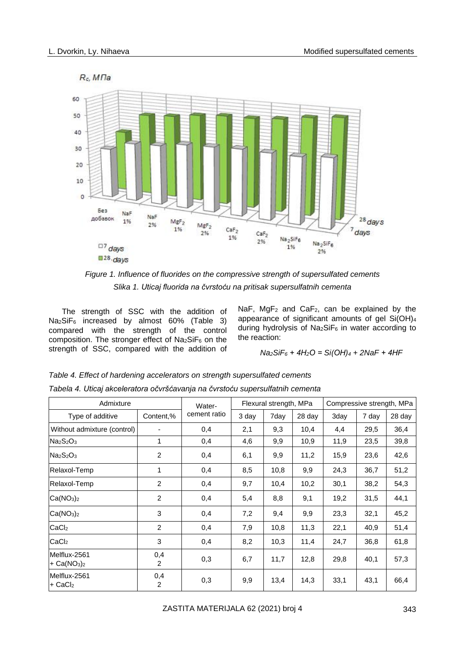

*Figure 1. Influence of fluorides on the compressive strength of supersulfated cements Slika 1. Uticaj fluorida na čvrstoću na pritisak supersulfatnih cementa*

The strength of SSC with the addition of Na2SiF<sup>6</sup> increased by almost 60% (Table 3) compared with the strength of the control composition. The stronger effect of  $Na<sub>2</sub>SiF<sub>6</sub>$  on the strength of SSC, compared with the addition of NaF,  $MgF_2$  and  $CaF_2$ , can be explained by the appearance of significant amounts of gel Si(OH)<sup>4</sup> during hydrolysis of  $Na<sub>2</sub>SiF<sub>6</sub>$  in water according to the reaction:

*Na2SiF<sup>6</sup> + 4Н2О = Si(ОН)<sup>4</sup> + 2NaF + 4НF*

| Admixture                             | Water-                |              | Flexural strength, MPa |      | Compressive strength, MPa |      |       |        |
|---------------------------------------|-----------------------|--------------|------------------------|------|---------------------------|------|-------|--------|
| Type of additive                      | Content,%             | cement ratio | 3 day                  | 7day | 28 day                    | 3day | 7 day | 28 day |
| Without admixture (control)           |                       | 0,4          | 2,1                    | 9,3  | 10,4                      | 4,4  | 29,5  | 36,4   |
| $Na2S2O3$                             | 1                     | 0,4          | 4,6                    | 9,9  | 10,9                      | 11,9 | 23,5  | 39,8   |
| $Na2S2O3$                             | 2                     | 0,4          | 6,1                    | 9,9  | 11,2                      | 15,9 | 23,6  | 42,6   |
| Relaxol-Temp                          | 1                     | 0,4          | 8,5                    | 10,8 | 9,9                       | 24,3 | 36,7  | 51,2   |
| Relaxol-Temp                          | $\overline{2}$        | 0,4          | 9,7                    | 10,4 | 10,2                      | 30,1 | 38,2  | 54,3   |
| Ca(NO <sub>3</sub> ) <sub>2</sub>     | 2                     | 0,4          | 5,4                    | 8,8  | 9,1                       | 19,2 | 31,5  | 44,1   |
| Ca(NO <sub>3</sub> ) <sub>2</sub>     | 3                     | 0,4          | 7,2                    | 9,4  | 9,9                       | 23,3 | 32,1  | 45,2   |
| CaCl <sub>2</sub>                     | 2                     | 0,4          | 7,9                    | 10,8 | 11,3                      | 22,1 | 40,9  | 51,4   |
| CaCl <sub>2</sub>                     | 3                     | 0,4          | 8,2                    | 10,3 | 11,4                      | 24,7 | 36,8  | 61,8   |
| Melflux-2561<br>$+ Ca(NO3)2$          | 0,4<br>$\overline{2}$ | 0,3          | 6,7                    | 11,7 | 12,8                      | 29,8 | 40,1  | 57,3   |
| Melflux-2561<br>$+$ CaCl <sub>2</sub> | 0,4<br>2              | 0,3          | 9,9                    | 13,4 | 14,3                      | 33,1 | 43,1  | 66,4   |

*Table 4. Effect of hardening accelerators on strength supersulfated cements Tabela 4. Uticaj akceleratora očvršćavanja na čvrstoću supersulfatnih cementa*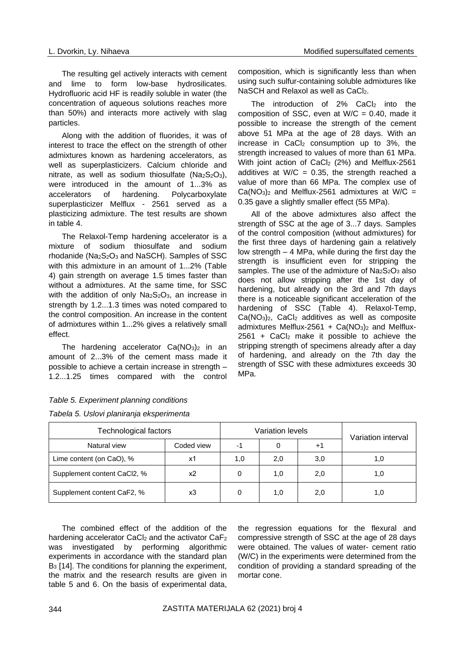The resulting gel actively interacts with cement and lime to form low-base hydrosilicates. Hydrofluoric acid HF is readily soluble in water (the concentration of aqueous solutions reaches more than 50%) and interacts more actively with slag particles.

Along with the addition of fluorides, it was of interest to trace the effect on the strength of other admixtures known as hardening accelerators, as well as superplasticizers. Calcium chloride and nitrate, as well as sodium thiosulfate ( $Na<sub>2</sub>S<sub>2</sub>O<sub>3</sub>$ ), were introduced in the amount of 1...3% as accelerators of hardening. Polycarboxylate superplasticizer Melflux - 2561 served as a plasticizing admixture. The test results are shown in table 4.

The Relaxol-Temp hardening accelerator is a mixture of sodium thiosulfate and sodium rhodanide ( $Na<sub>2</sub>S<sub>2</sub>O<sub>3</sub>$  and NaSCH). Samples of SSC with this admixture in an amount of 1...2% (Table 4) gain strength on average 1.5 times faster than without a admixtures. At the same time, for SSC with the addition of only  $Na<sub>2</sub>S<sub>2</sub>O<sub>3</sub>$ , an increase in strength by 1.2...1.3 times was noted compared to the control composition. An increase in the content of admixtures within 1...2% gives a relatively small effect.

The hardening accelerator  $Ca(NO<sub>3</sub>)<sub>2</sub>$  in an amount of 2...3% of the cement mass made it possible to achieve a certain increase in strength – 1.2...1.25 times compared with the control composition, which is significantly less than when using such sulfur-containing soluble admixtures like NaSCH and Relaxol as well as CaCl<sub>2</sub>.

The introduction of  $2\%$  CaCl<sub>2</sub> into the composition of SSC, even at  $W/C = 0.40$ , made it possible to increase the strength of the cement above 51 MPa at the age of 28 days. With an increase in  $CaCl<sub>2</sub>$  consumption up to 3%, the strength increased to values of more than 61 MPa. With joint action of CaCl<sub>2</sub> (2%) and Melflux-2561 additives at W/C = 0.35, the strength reached a value of more than 66 MPa. The complex use of  $Ca(NO<sub>3</sub>)<sub>2</sub>$  and Melflux-2561 admixtures at W/C = 0.35 gave a slightly smaller effect (55 MPa).

All of the above admixtures also affect the strength of SSC at the age of 3...7 days. Samples of the control composition (without admixtures) for the first three days of hardening gain a relatively low strength – 4 MPa, while during the first day the strength is insufficient even for stripping the samples. The use of the admixture of  $Na<sub>2</sub>S<sub>2</sub>O<sub>3</sub>$  also does not allow stripping after the 1st day of hardening, but already on the 3rd and 7th days there is a noticeable significant acceleration of the hardening of SSC (Table 4). Relaxol-Temp, Ca(NO3)2, CaCl<sup>2</sup> additives as well as composite admixtures Melflux-2561 +  $Ca(NO<sub>3</sub>)<sub>2</sub>$  and Melflux- $2561$  + CaCl<sub>2</sub> make it possible to achieve the stripping strength of specimens already after a day of hardening, and already on the 7th day the strength of SSC with these admixtures exceeds 30 MPa.

| Technological factors       |            | <b>Variation levels</b> | Variation interval |      |     |
|-----------------------------|------------|-------------------------|--------------------|------|-----|
| Natural view                | Coded view | -1                      |                    | $+1$ |     |
| Lime content (on CaO), %    | x1         | 1,0                     | 2,0                | 3,0  | 1.0 |
| Supplement content CaCl2, % | х2         |                         | 1,0                | 2,0  | 1.0 |
| Supplement content CaF2, %  | x3         |                         | 1.0                | 2,0  | 1,0 |

## *Table 5. Experiment planning conditions Tabela 5. Uslovi planiranja eksperimenta*

The combined effect of the addition of the hardening accelerator CaCl<sub>2</sub> and the activator CaF<sub>2</sub> was investigated by performing algorithmic experiments in accordance with the standard plan B<sub>3</sub> [14]. The conditions for planning the experiment, the matrix and the research results are given in table 5 and 6. On the basis of experimental data,

the regression equations for the flexural and compressive strength of SSC at the age of 28 days were obtained. The values of water- cement ratio (W/C) in the experiments were determined from the condition of providing a standard spreading of the mortar cone.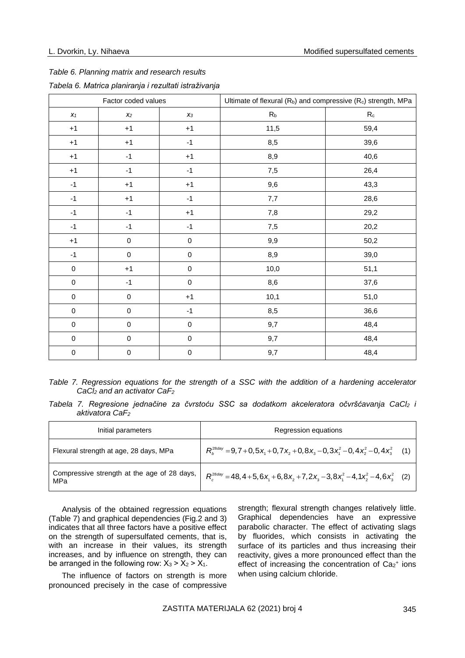## *Table 6. Planning matrix and research results*

|                  | Factor coded values |       | Ultimate of flexural $(R_b)$ and compressive $(R_c)$ strength, MPa |         |  |  |  |
|------------------|---------------------|-------|--------------------------------------------------------------------|---------|--|--|--|
| $X_1$            | $x_2$               | $X_3$ | R <sub>b</sub>                                                     | $R_{c}$ |  |  |  |
| $+1$             | ÷1                  | $+1$  | 11,5                                                               | 59,4    |  |  |  |
| $^{\mathrm{+1}}$ | ÷'                  |       | 8,5                                                                | 39,6    |  |  |  |
| $+1$             | -1                  | $+1$  | 8,9                                                                | 40,6    |  |  |  |
| Ŧ1               | -1                  |       | 7,5                                                                | 26,4    |  |  |  |
|                  |                     |       | 9,6                                                                | 43,3    |  |  |  |

#### *Tabela 6. Matrica planiranja i rezultati istraživanja*

|  | Table 7. Regression equations for the strength of a SSC with the addition of a hardening accelerator |  |  |  |  |  |  |  |  |
|--|------------------------------------------------------------------------------------------------------|--|--|--|--|--|--|--|--|
|  | $CaCl2$ and an activator CaF <sub>2</sub>                                                            |  |  |  |  |  |  |  |  |

-1 | -1 | -1 | 7,7 | 28,6 -1 | -1 | +1 | 7,8 | 29,2 -1 | -1 | -1 | 7,5 | 20,2 +1 0 0 9,9 50,2 -1 | 0 | 0 | 8,9 | 39,0 0 +1 0 10,0 51,1 0 -1 0 8,6 37,6 0 0 0 +1 1 10,1 51,0  $0$  0 -1 8,5 0 36,6 0 0 0 9,7 a8,4 0 0 0 9,7 a8,4 0 0 0 9,7 a8,4

*Tabela 7. Regresione jednačine za čvrstoću SSC sa dodatkom akceleratora očvršćavanja CaCl<sup>2</sup> i aktivatora CaF<sup>2</sup>*

| Initial parameters                                 | Regression equations                                                                                            |  |
|----------------------------------------------------|-----------------------------------------------------------------------------------------------------------------|--|
| Flexural strength at age, 28 days, MPa             | $R_h^{\text{28\text{day}}}$ = 9,7 + 0,5 $x_1$ + 0,7 $x_2$ + 0,8 $x_3$ – 0,3 $x_1^2$ – 0,4 $x_2^2$ – 0,4 $x_3^2$ |  |
| Compressive strength at the age of 28 days,<br>MPa | $R_c^{28\text{day}} = 48,4+5,6x_1+6,8x_2+7,2x_3-3,8x_1^2-4,1x_2^2-4,6x_3^2$ (2)                                 |  |

Analysis of the obtained regression equations (Table 7) and graphical dependencies (Fig.2 and 3) indicates that all three factors have a positive effect on the strength of supersulfated cements, that is, with an increase in their values, its strength increases, and by influence on strength, they can be arranged in the following row:  $X_3 > X_2 > X_1$ .

The influence of factors on strength is more pronounced precisely in the case of compressive

strength; flexural strength changes relatively little. Graphical dependencies have an expressive parabolic character. The effect of activating slags by fluorides, which consists in activating the surface of its particles and thus increasing their reactivity, gives a more pronounced effect than the effect of increasing the concentration of  $Ca<sub>2</sub><sup>+</sup>$  ions when using calcium chloride.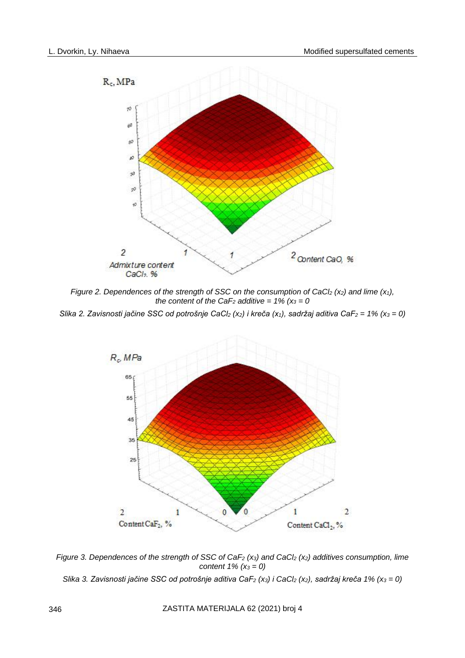

*Figure 2. Dependences of the strength of SSC on the consumption of CaCl<sup>2</sup> (x2) and lime (x1), the content of the CaF*<sup>2</sup> *additive = 1% (* $x_3 = 0$ *)* 

*Slika 2. Zavisnosti jačine SSC od potrošnje CaCl<sup>2</sup> (x2) i kreča (x1), sadržaj aditiva CaF<sup>2</sup> = 1% (x<sup>3</sup> = 0)*



*Figure 3. Dependences of the strength of SSC of CaF<sup>2</sup> (x3) and CaCl<sup>2</sup> (x2) additives consumption, lime content 1% (x<sup>3</sup> = 0)*

*Slika 3. Zavisnosti jačine SSC od potrošnje aditiva CaF<sup>2</sup> (x3) i CaCl<sup>2</sup> (x2), sadržaj kreča 1% (x<sup>3</sup> = 0)*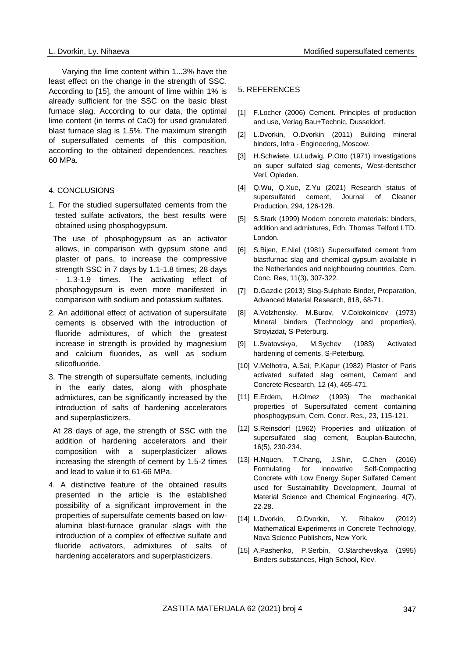Varying the lime content within 1...3% have the least effect on the change in the strength of SSC. According to [15], the amount of lime within 1% is already sufficient for the SSC on the basic blast furnace slag. According to our data, the optimal lime content (in terms of CaO) for used granulated blast furnace slag is 1.5%. The maximum strength of supersulfated cements of this composition, according to the obtained dependences, reaches 60 MPa.

## 4. CONCLUSIONS

1. For the studied supersulfated cements from the tested sulfate activators, the best results were obtained using phosphogypsum.

 The use of phosphogypsum as an activator allows, in comparison with gypsum stone and plaster of paris, to increase the compressive strength SSC in 7 days by 1.1-1.8 times; 28 days - 1.3-1.9 times. The activating effect of phosphogypsum is even more manifested in comparison with sodium and potassium sulfates.

- 2. An additional effect of activation of supersulfate cements is observed with the introduction of fluoride admixtures, of which the greatest increase in strength is provided by magnesium and calcium fluorides, as well as sodium silicofluoride.
- 3. The strength of supersulfate cements, including in the early dates, along with phosphate admixtures, can be significantly increased by the introduction of salts of hardening accelerators and superplasticizers.

 At 28 days of age, the strength of SSC with the addition of hardening accelerators and their composition with a superplasticizer allows increasing the strength of cement by 1.5-2 times and lead to value it to 61-66 MPa.

4. A distinctive feature of the obtained results presented in the article is the established possibility of a significant improvement in the properties of supersulfate cements based on lowalumina blast-furnace granular slags with the introduction of a complex of effective sulfate and fluoride activators, admixtures of salts of hardening accelerators and superplasticizers.

#### 5. REFERENCES

- [1] F.Locher (2006) Cement. Principles of production and use, Verlag Bau+Technic, Dusseldorf.
- [2] L.Dvorkin, O.Dvorkin (2011) Building mineral binders, Infra - Engineering, Moscow.
- [3] H.Schwiete, U.Ludwig, P.Otto (1971) Investigations on super sulfated slag cements, West-dentscher Verl, Opladen.
- [4] Q.Wu, Q.Xue, Z.Yu (2021) Research status of supersulfated cement, Journal of Cleaner Production, 294, 126-128.
- [5] S.Stark (1999) Modern concrete materials: binders, addition and admixtures, Edh. Thomas Telford LTD. London.
- [6] S.Bijen, E.Niel (1981) Supersulfated cement from blastfurnac slag and chemical gypsum available in the Netherlandes and neighbouring countries, Cem. Conc. Res, 11(3), 307-322.
- [7] D.Gazdic (2013) Slag-Sulphate Binder, Preparation, Advanced Material Research, 818, 68-71.
- [8] A.Volzhensky, M.Burov, V.Colokolnicov (1973) Mineral binders (Technology and properties), Stroyizdat, S-Peterburg.
- [9] L.Svatovskya, M.Sychev (1983) Activated hardening of cements, S-Peterburg.
- [10] V.Melhotra, A.Sai, P.Kapur (1982) Plaster of Paris activated sulfated slag cement, Cement and Concrete Research, 12 (4), 465-471.
- [11] E.Erdem, H.Olmez (1993) The mechanical properties of Supersulfated cement containing phosphogypsum, Cem. Concr. Res., 23, 115-121.
- [12] S.Reinsdorf (1962) Properties and utilization of supersulfated slag cement, Bauplan-Bautechn, 16(5), 230-234.
- [13] H.Nquen, T.Chang, J.Shin, C.Chen (2016) Formulating for innovative Self-Compacting Concrete with Low Energy Super Sulfated Cement used for Sustainability Development, Journal of Material Science and Chemical Engineering. 4(7), 22-28.
- [14] L.Dvorkin, O.Dvorkin, Y. Ribakov (2012) Mathematical Experiments in Concrete Technology, Nova Science Publishers, New York.
- [15] A.Pashenko, P.Serbin, O.Starchevskya (1995) Binders substances, High School, Kiev.